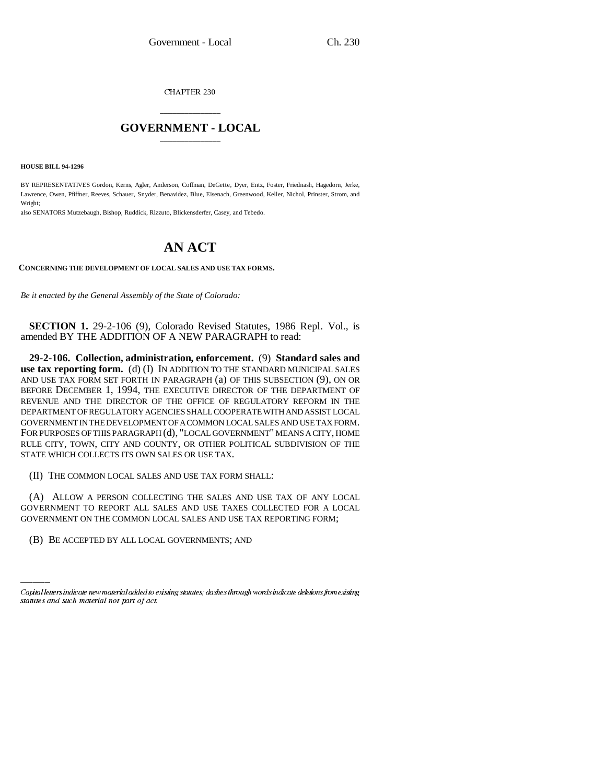CHAPTER 230

## \_\_\_\_\_\_\_\_\_\_\_\_\_\_\_ **GOVERNMENT - LOCAL** \_\_\_\_\_\_\_\_\_\_\_\_\_\_\_

**HOUSE BILL 94-1296**

BY REPRESENTATIVES Gordon, Kerns, Agler, Anderson, Coffman, DeGette, Dyer, Entz, Foster, Friednash, Hagedorn, Jerke, Lawrence, Owen, Pfiffner, Reeves, Schauer, Snyder, Benavidez, Blue, Eisenach, Greenwood, Keller, Nichol, Prinster, Strom, and Wright;

also SENATORS Mutzebaugh, Bishop, Ruddick, Rizzuto, Blickensderfer, Casey, and Tebedo.

## **AN ACT**

**CONCERNING THE DEVELOPMENT OF LOCAL SALES AND USE TAX FORMS.**

*Be it enacted by the General Assembly of the State of Colorado:*

**SECTION 1.** 29-2-106 (9), Colorado Revised Statutes, 1986 Repl. Vol., is amended BY THE ADDITION OF A NEW PARAGRAPH to read:

**29-2-106. Collection, administration, enforcement.** (9) **Standard sales and use tax reporting form.** (d) (I) IN ADDITION TO THE STANDARD MUNICIPAL SALES AND USE TAX FORM SET FORTH IN PARAGRAPH (a) OF THIS SUBSECTION (9), ON OR BEFORE DECEMBER 1, 1994, THE EXECUTIVE DIRECTOR OF THE DEPARTMENT OF REVENUE AND THE DIRECTOR OF THE OFFICE OF REGULATORY REFORM IN THE DEPARTMENT OF REGULATORY AGENCIES SHALL COOPERATE WITH AND ASSIST LOCAL GOVERNMENT IN THE DEVELOPMENT OF A COMMON LOCAL SALES AND USE TAX FORM. FOR PURPOSES OF THIS PARAGRAPH (d), "LOCAL GOVERNMENT" MEANS A CITY, HOME RULE CITY, TOWN, CITY AND COUNTY, OR OTHER POLITICAL SUBDIVISION OF THE STATE WHICH COLLECTS ITS OWN SALES OR USE TAX.

(II) THE COMMON LOCAL SALES AND USE TAX FORM SHALL:

GOVERNMENT TO REPORT ALL SALES AND USE TAXES COLLECTED FOR A LOCAL (A) ALLOW A PERSON COLLECTING THE SALES AND USE TAX OF ANY LOCAL GOVERNMENT ON THE COMMON LOCAL SALES AND USE TAX REPORTING FORM;

(B) BE ACCEPTED BY ALL LOCAL GOVERNMENTS; AND

Capital letters indicate new material added to existing statutes; dashes through words indicate deletions from existing statutes and such material not part of act.